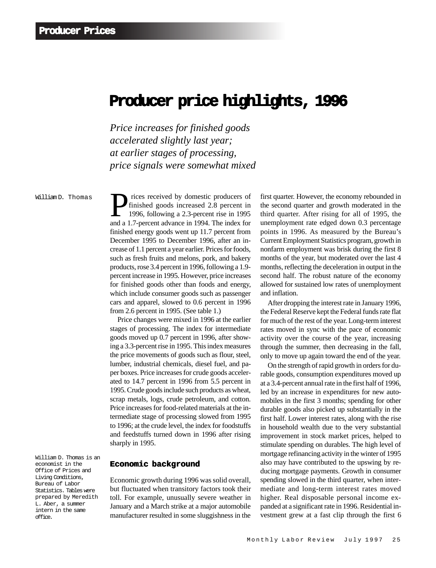# Producer price highlights, 1996

*Price increases for finished goods accelerated slightly last year; at earlier stages of processing, price signals were somewhat mixed*

William D. Thomas

Finished goods increased 2.8 percent in<br>1996, following a 2.3-percent rise in 1995<br>and a 1.7-percent advance in 1994. The index for finished goods increased 2.8 percent in 1996, following a 2.3-percent rise in 1995 and a 1.7-percent advance in 1994. The index for finished energy goods went up 11.7 percent from December 1995 to December 1996, after an increase of 1.1 percent a year earlier. Prices for foods, such as fresh fruits and melons, pork, and bakery products, rose 3.4 percent in 1996, following a 1.9 percent increase in 1995. However, price increases for finished goods other than foods and energy, which include consumer goods such as passenger cars and apparel, slowed to 0.6 percent in 1996 from 2.6 percent in 1995. (See table 1.)

Price changes were mixed in 1996 at the earlier stages of processing. The index for intermediate goods moved up 0.7 percent in 1996, after showing a 3.3-percent rise in 1995. This index measures the price movements of goods such as flour, steel, lumber, industrial chemicals, diesel fuel, and paper boxes. Price increases for crude goods accelerated to 14.7 percent in 1996 from 5.5 percent in 1995. Crude goods include such products as wheat, scrap metals, logs, crude petroleum, and cotton. Price increases for food-related materials at the intermediate stage of processing slowed from 1995 to 1996; at the crude level, the index for foodstuffs and feedstuffs turned down in 1996 after rising sharply in 1995.

**Economic background**

Economic growth during 1996 was solid overall, but fluctuated when transitory factors took their toll. For example, unusually severe weather in January and a March strike at a major automobile manufacturer resulted in some sluggishness in the first quarter. However, the economy rebounded in the second quarter and growth moderated in the third quarter. After rising for all of 1995, the unemployment rate edged down 0.3 percentage points in 1996. As measured by the Bureau's Current Employment Statistics program, growth in nonfarm employment was brisk during the first 8 months of the year, but moderated over the last 4 months, reflecting the deceleration in output in the second half. The robust nature of the economy allowed for sustained low rates of unemployment and inflation.

After dropping the interest rate in January 1996, the Federal Reserve kept the Federal funds rate flat for much of the rest of the year. Long-term interest rates moved in sync with the pace of economic activity over the course of the year, increasing through the summer, then decreasing in the fall, only to move up again toward the end of the year.

On the strength of rapid growth in orders for durable goods, consumption expenditures moved up at a 3.4-percent annual rate in the first half of 1996, led by an increase in expenditures for new automobiles in the first 3 months; spending for other durable goods also picked up substantially in the first half. Lower interest rates, along with the rise in household wealth due to the very substantial improvement in stock market prices, helped to stimulate spending on durables. The high level of mortgage refinancing activity in the winter of 1995 also may have contributed to the upswing by reducing mortgage payments. Growth in consumer spending slowed in the third quarter, when intermediate and long-term interest rates moved higher. Real disposable personal income expanded at a significant rate in 1996. Residential investment grew at a fast clip through the first 6

William D. Thomas is an economist in the Office of Prices and Living Conditions, Bureau of Labor Statistics. Tables were prepared by Meredith L. Aber, a summer intern in the same office.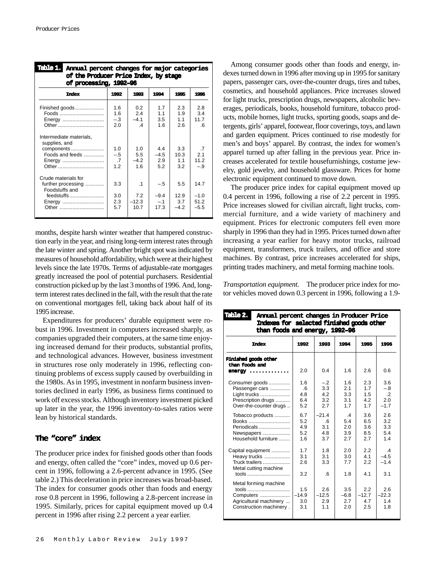| Table 1.<br>Annual percent changes for major categories<br>of the Producer Price Index, by stage<br>of processing, 1992-96 |                                             |                                          |                                  |                            |                                      |
|----------------------------------------------------------------------------------------------------------------------------|---------------------------------------------|------------------------------------------|----------------------------------|----------------------------|--------------------------------------|
| <b>Index</b>                                                                                                               | 1992                                        | 1993                                     | 1994                             | 1995                       | 1996                                 |
| Finished goods<br>Foods<br>Energy<br>Other                                                                                 | 1.6<br>1.6<br>$-.3$<br>2.0                  | 0.2<br>2.4<br>$-41$<br>$\overline{4}$    | 17<br>11<br>3.5<br>1.6           | 23<br>1.9<br>11<br>2.6     | 2.8<br>3.4<br>117<br>-6              |
| Intermediate materials,<br>supplies, and<br>components<br>Foods and feeds<br>Energy<br>Other                               | 1 <sub>0</sub><br>$-.5$<br>$\cdot$ .7<br>12 | 1 <sub>0</sub><br>5.5<br>$-4.2$<br>16    | 44<br>$-4.5$<br>2.9<br>5.2       | 3.3<br>10.3<br>11<br>3.2   | $\overline{7}$<br>21<br>112<br>$-.9$ |
| Crude materials for<br>further processing<br>Foodstuffs and<br>feedstuffs<br>Energy<br>Other                               | 3.3<br>3.0<br>2.3<br>5.7                    | $\overline{1}$<br>7.2<br>$-12.3$<br>10.7 | $-.5$<br>$-9.4$<br>$-.1$<br>17.3 | 55<br>12.9<br>3.7<br>$-42$ | 147<br>$-1.0$<br>51.2<br>$-5.5$      |

months, despite harsh winter weather that hampered construction early in the year, and rising long-term interest rates through the late winter and spring. Another bright spot was indicated by measures of household affordability, which were at their highest levels since the late 1970s. Terms of adjustable-rate mortgages greatly increased the pool of potential purchasers. Residential construction picked up by the last 3 months of 1996. And, longterm interest rates declined in the fall, with the result that the rate on conventional mortgages fell, taking back about half of its 1995 increase.

Expenditures for producers' durable equipment were robust in 1996. Investment in computers increased sharply, as companies upgraded their computers, at the same time enjoying increased demand for their products, substantial profits, and technological advances. However, business investment in structures rose only moderately in 1996, reflecting continuing problems of excess supply caused by overbuilding in the 1980s. As in 1995, investment in nonfarm business inventories declined in early 1996, as business firms continued to work off excess stocks. Although inventory investment picked up later in the year, the 1996 inventory-to-sales ratios were lean by historical standards.

# **The "core" index**

The producer price index for finished goods other than foods and energy, often called the "core" index, moved up 0.6 percent in 1996, following a 2.6-percent advance in 1995. (See table 2.) This deceleration in price increases was broad-based. The index for consumer goods other than foods and energy rose 0.8 percent in 1996, following a 2.8-percent increase in 1995. Similarly, prices for capital equipment moved up 0.4 percent in 1996 after rising 2.2 percent a year earlier.

Among consumer goods other than foods and energy, indexes turned down in 1996 after moving up in 1995 for sanitary papers, passenger cars, over-the-counter drugs, tires and tubes, cosmetics, and household appliances. Price increases slowed for light trucks, prescription drugs, newspapers, alcoholic beverages, periodicals, books, household furniture, tobacco products, mobile homes, light trucks, sporting goods, soaps and detergents, girls' apparel, footwear, floor coverings, toys, and lawn and garden equipment. Prices continued to rise modestly for men's and boys' apparel. By contrast, the index for women's apparel turned up after falling in the previous year. Price increases accelerated for textile housefurnishings, costume jewelry, gold jewelry, and household glassware. Prices for home electronic equipment continued to move down.

The producer price index for capital equipment moved up 0.4 percent in 1996, following a rise of 2.2 percent in 1995. Price increases slowed for civilian aircraft, light trucks, commercial furniture, and a wide variety of machinery and equipment. Prices for electronic computers fell even more sharply in 1996 than they had in 1995. Prices turned down after increasing a year earlier for heavy motor trucks, railroad equipment, transformers, truck trailers, and office and store machines. By contrast, price increases accelerated for ships, printing trades machinery, and metal forming machine tools.

*Transportation equipment.* The producer price index for motor vehicles moved down 0.3 percent in 1996, following a 1.9-

| Table 2.<br>Annual percent changes in Producer Price<br>Indexes for selected finished goods other<br>than foods and energy, 1992-96 |                                |                                          |                                          |                                 |                                             |  |
|-------------------------------------------------------------------------------------------------------------------------------------|--------------------------------|------------------------------------------|------------------------------------------|---------------------------------|---------------------------------------------|--|
| Index                                                                                                                               | 1992                           | 1993                                     | 1994                                     | 1995                            | 1996                                        |  |
| Finished goods other<br>than foods and<br>$energy \ldots \ldots \ldots \ldots$                                                      | 2.0                            | 0.4                                      | 1.6                                      | 2.6                             | 0.6                                         |  |
| Consumer goods<br>Passenger cars<br>Light trucks<br>Prescription drugs<br>Over-the-counter drugs                                    | 1.6<br>.6<br>4.8<br>6.4<br>5.2 | $-.2$<br>3.3<br>4.2<br>3.2<br>27         | 16<br>2.1<br>3.3<br>3.1<br>17            | 2.3<br>1.7<br>1.5<br>4.2<br>1.7 | 3.6<br>$-.8$<br>$\cdot$ .2<br>2.0<br>$-1.7$ |  |
| Tobacco products<br>Books<br>Periodicals<br>Newspapers<br>Household furniture                                                       | 67<br>5.2<br>4.9<br>5.2<br>1.6 | $-214$<br>$6 \cdot$<br>3.1<br>4.8<br>3.7 | $\mathbf{A}$<br>5.4<br>2.0<br>3.9<br>2.7 | 3.6<br>6.5<br>3.6<br>8.5<br>2.7 | 26<br>3.2<br>3.3<br>5.4<br>1.4              |  |
| Capital equipment<br>Heavy trucks<br><b>Truck trailers</b><br>Metal cutting machine                                                 | 17<br>3.1<br>2.6<br>3.2        | 18<br>3.1<br>3.3<br>$6 \overline{6}$     | 20<br>3.0<br>7.7<br>1.8                  | 22<br>41<br>2.2<br>4.1          | $\mathcal{A}$<br>$-4.5$<br>$-1.4$<br>3.1    |  |
| Metal forming machine<br>tools<br>Computers<br>Agricultural machinery<br>Construction machinery.                                    | 1.5<br>$-14.9$<br>3.0<br>3.1   | 2.6<br>$-12.5$<br>2.9<br>1.1             | 3.5<br>$-6.8$<br>2.7<br>2.0              | 2.2<br>$-12.7$<br>4.7<br>2.5    | 2.6<br>$-22.3$<br>1.4<br>1.8                |  |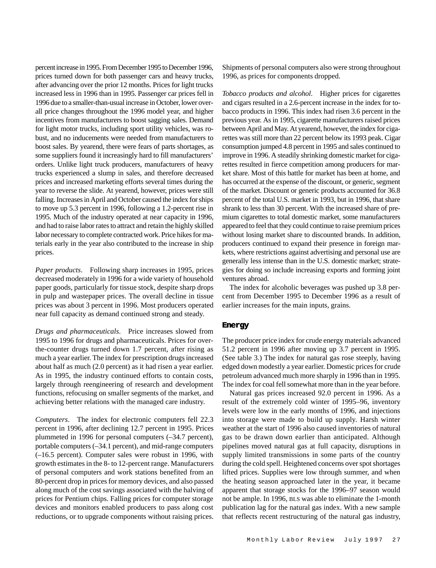percent increase in 1995. From December 1995 to December 1996, prices turned down for both passenger cars and heavy trucks, after advancing over the prior 12 months. Prices for light trucks increased less in 1996 than in 1995. Passenger car prices fell in 1996 due to a smaller-than-usual increase in October, lower overall price changes throughout the 1996 model year, and higher incentives from manufacturers to boost sagging sales. Demand for light motor trucks, including sport utility vehicles, was robust, and no inducements were needed from manufacturers to boost sales. By yearend, there were fears of parts shortages, as some suppliers found it increasingly hard to fill manufacturers' orders. Unlike light truck producers, manufacturers of heavy trucks experienced a slump in sales, and therefore decreased prices and increased marketing efforts several times during the year to reverse the slide. At yearend, however, prices were still falling. Increases in April and October caused the index for ships to move up 5.3 percent in 1996, following a 1.2-percent rise in 1995. Much of the industry operated at near capacity in 1996, and had to raise labor rates to attract and retain the highly skilled labor necessary to complete contracted work. Price hikes for materials early in the year also contributed to the increase in ship prices.

*Paper products*. Following sharp increases in 1995, prices decreased moderately in 1996 for a wide variety of household paper goods, particularly for tissue stock, despite sharp drops in pulp and wastepaper prices. The overall decline in tissue prices was about 3 percent in 1996. Most producers operated near full capacity as demand continued strong and steady.

*Drugs and pharmaceuticals*. Price increases slowed from 1995 to 1996 for drugs and pharmaceuticals. Prices for overthe-counter drugs turned down 1.7 percent, after rising as much a year earlier. The index for prescription drugs increased about half as much (2.0 percent) as it had risen a year earlier. As in 1995, the industry continued efforts to contain costs, largely through reengineering of research and development functions, refocusing on smaller segments of the market, and achieving better relations with the managed care industry.

*Computers*. The index for electronic computers fell 22.3 percent in 1996, after declining 12.7 percent in 1995. Prices plummeted in 1996 for personal computers (–34.7 percent), portable computers (–34.1 percent), and mid-range computers (–16.5 percent). Computer sales were robust in 1996, with growth estimates in the 8- to 12-percent range. Manufacturers of personal computers and work stations benefited from an 80-percent drop in prices for memory devices, and also passed along much of the cost savings associated with the halving of prices for Pentium chips. Falling prices for computer storage devices and monitors enabled producers to pass along cost reductions, or to upgrade components without raising prices. Shipments of personal computers also were strong throughout 1996, as prices for components dropped.

*Tobacco products and alcohol*. Higher prices for cigarettes and cigars resulted in a 2.6-percent increase in the index for tobacco products in 1996. This index had risen 3.6 percent in the previous year. As in 1995, cigarette manufacturers raised prices between April and May. At yearend, however, the index for cigarettes was still more than 22 percent below its 1993 peak. Cigar consumption jumped 4.8 percent in 1995 and sales continued to improve in 1996. A steadily shrinking domestic market for cigarettes resulted in fierce competition among producers for market share. Most of this battle for market has been at home, and has occurred at the expense of the discount, or generic, segment of the market. Discount or generic products accounted for 36.8 percent of the total U.S. market in 1993, but in 1996, that share shrank to less than 30 percent. With the increased share of premium cigarettes to total domestic market, some manufacturers appeared to feel that they could continue to raise premium prices without losing market share to discounted brands. In addition, producers continued to expand their presence in foreign markets, where restrictions against advertising and personal use are generally less intense than in the U.S. domestic market; strategies for doing so include increasing exports and forming joint ventures abroad.

The index for alcoholic beverages was pushed up 3.8 percent from December 1995 to December 1996 as a result of earlier increases for the main inputs, grains.

# **Energy**

The producer price index for crude energy materials advanced 51.2 percent in 1996 after moving up 3.7 percent in 1995. (See table 3.) The index for natural gas rose steeply, having edged down modestly a year earlier. Domestic prices for crude petroleum advanced much more sharply in 1996 than in 1995. The index for coal fell somewhat more than in the year before.

Natural gas prices increased 92.0 percent in 1996. As a result of the extremely cold winter of 1995–96, inventory levels were low in the early months of 1996, and injections into storage were made to build up supply. Harsh winter weather at the start of 1996 also caused inventories of natural gas to be drawn down earlier than anticipated. Although pipelines moved natural gas at full capacity, disruptions in supply limited transmissions in some parts of the country during the cold spell. Heightened concerns over spot shortages lifted prices. Supplies were low through summer, and when the heating season approached later in the year, it became apparent that storage stocks for the 1996–97 season would not be ample. In 1996, BLS was able to eliminate the 1-month publication lag for the natural gas index. With a new sample that reflects recent restructuring of the natural gas industry,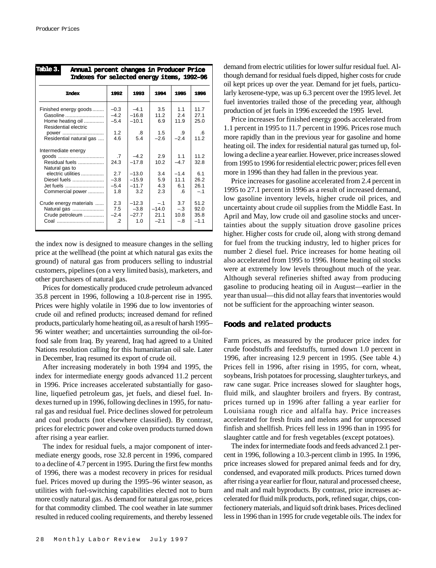| Table 3.<br>Annual percent changes in Producer Price<br>Indexes for selected energy items, 1992-96 |                   |                   |               |               |                |  |
|----------------------------------------------------------------------------------------------------|-------------------|-------------------|---------------|---------------|----------------|--|
| <b>Index</b>                                                                                       | 1992              | 1993              | 1994          | 1995          | 1996           |  |
| Finished energy goods<br>Gasoline                                                                  | $-0.3$<br>$-4.2$  | $-4.1$<br>$-16.8$ | 3.5<br>112    | 1.1<br>2.4    | 11.7<br>27.1   |  |
| Home heating oil<br>Residential electric                                                           | $-5.4$            | $-10.1$           | 6.9           | 119           | 25.0           |  |
| power<br>Residential natural gas                                                                   | 1.2<br>4.6        | .8<br>5.4         | 1.5<br>$-2.6$ | .9<br>$-24$   | .6<br>11.2     |  |
| Intermediate energy                                                                                |                   |                   |               |               |                |  |
| goods                                                                                              | .7                | $-4.2$            | 2.9           | 11            | 112            |  |
| Residual fuels<br>Natural gas to                                                                   | 24.3              | $-17.8$           | 10.2          | $-4.7$        | 32.8           |  |
| electric utilities                                                                                 | 2.7               | $-13.0$           | 3.4           | $-1.4$        | 61             |  |
| Diesel fuels                                                                                       | $-3.8$            | $-15.9$           | 5.9           | 11.1          | 26.2           |  |
| Jet fuels                                                                                          | $-5.4$            | $-11.7$           | 4.3           | 61            | 26.1           |  |
| Commercial power                                                                                   | 1.8               | 3.2               | 2.3           | .6            | $-.1$          |  |
| Crude energy materials                                                                             | 2.3               | $-12.3$           | $-.1$         | 3.7           | 51.2           |  |
| Natural gas                                                                                        | 7.5               | $-3.8$            | $-14.0$       | $-.3$         | 92.0           |  |
| Crude petroleum<br>Coal                                                                            | $-2.4$<br>$\cdot$ | $-27.7$<br>1.0    | 21.1<br>$-21$ | 10.8<br>$-.8$ | 35.8<br>$-1.1$ |  |

the index now is designed to measure changes in the selling price at the wellhead (the point at which natural gas exits the ground) of natural gas from producers selling to industrial customers, pipelines (on a very limited basis), marketers, and other purchasers of natural gas.

Prices for domestically produced crude petroleum advanced 35.8 percent in 1996, following a 10.8-percent rise in 1995. Prices were highly volatile in 1996 due to low inventories of crude oil and refined products; increased demand for refined products, particularly home heating oil, as a result of harsh 1995– 96 winter weather; and uncertainties surrounding the oil-forfood sale from Iraq. By yearend, Iraq had agreed to a United Nations resolution calling for this humanitarian oil sale. Later in December, Iraq resumed its export of crude oil.

After increasing moderately in both 1994 and 1995, the index for intermediate energy goods advanced 11.2 percent in 1996. Price increases accelerated substantially for gasoline, liquefied petroleum gas, jet fuels, and diesel fuel. Indexes turned up in 1996, following declines in 1995, for natural gas and residual fuel. Price declines slowed for petroleum and coal products (not elsewhere classified). By contrast, prices for electric power and coke oven products turned down after rising a year earlier.

The index for residual fuels, a major component of intermediate energy goods, rose 32.8 percent in 1996, compared to a decline of 4.7 percent in 1995. During the first few months of 1996, there was a modest recovery in prices for residual fuel. Prices moved up during the 1995–96 winter season, as utilities with fuel-switching capabilities elected not to burn more costly natural gas. As demand for natural gas rose, prices for that commodity climbed. The cool weather in late summer resulted in reduced cooling requirements, and thereby lessened demand from electric utilities for lower sulfur residual fuel. Although demand for residual fuels dipped, higher costs for crude oil kept prices up over the year. Demand for jet fuels, particularly kerosene-type, was up 6.3 percent over the 1995 level. Jet fuel inventories trailed those of the preceding year, although production of jet fuels in 1996 exceeded the 1995 level.

Price increases for finished energy goods accelerated from 1.1 percent in 1995 to 11.7 percent in 1996. Prices rose much more rapidly than in the previous year for gasoline and home heating oil. The index for residential natural gas turned up, following a decline a year earlier. However, price increases slowed from 1995 to 1996 for residential electric power; prices fell even more in 1996 than they had fallen in the previous year.

Price increases for gasoline accelerated from 2.4 percent in 1995 to 27.1 percent in 1996 as a result of increased demand, low gasoline inventory levels, higher crude oil prices, and uncertainty about crude oil supplies from the Middle East. In April and May, low crude oil and gasoline stocks and uncertainties about the supply situation drove gasoline prices higher. Higher costs for crude oil, along with strong demand for fuel from the trucking industry, led to higher prices for number 2 diesel fuel. Price increases for home heating oil also accelerated from 1995 to 1996. Home heating oil stocks were at extremely low levels throughout much of the year. Although several refineries shifted away from producing gasoline to producing heating oil in August—earlier in the year than usual—this did not allay fears that inventories would not be sufficient for the approaching winter season.

## **Foods and related products**

Farm prices, as measured by the producer price index for crude foodstuffs and feedstuffs, turned down 1.0 percent in 1996, after increasing 12.9 percent in 1995. (See table 4.) Prices fell in 1996, after rising in 1995, for corn, wheat, soybeans, Irish potatoes for processing, slaughter turkeys, and raw cane sugar. Price increases slowed for slaughter hogs, fluid milk, and slaughter broilers and fryers. By contrast, prices turned up in 1996 after falling a year earlier for Louisiana rough rice and alfalfa hay. Price increases accelerated for fresh fruits and melons and for unprocessed finfish and shellfish. Prices fell less in 1996 than in 1995 for slaughter cattle and for fresh vegetables (except potatoes).

The index for intermediate foods and feeds advanced 2.1 percent in 1996, following a 10.3-percent climb in 1995. In 1996, price increases slowed for prepared animal feeds and for dry, condensed, and evaporated milk products. Prices turned down after rising a year earlier for flour, natural and processed cheese, and malt and malt byproducts. By contrast, price increases accelerated for fluid milk products, pork, refined sugar, chips, confectionery materials, and liquid soft drink bases. Prices declined less in 1996 than in 1995 for crude vegetable oils. The index for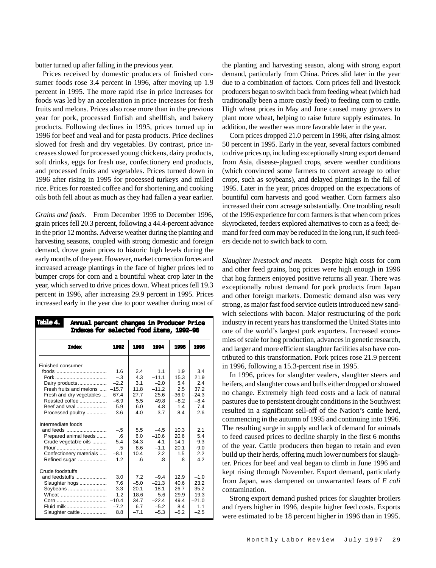butter turned up after falling in the previous year.

Prices received by domestic producers of finished consumer foods rose 3.4 percent in 1996, after moving up 1.9 percent in 1995. The more rapid rise in price increases for foods was led by an acceleration in price increases for fresh fruits and melons. Prices also rose more than in the previous year for pork, processed finfish and shellfish, and bakery products. Following declines in 1995, prices turned up in 1996 for beef and veal and for pasta products. Price declines slowed for fresh and dry vegetables. By contrast, price increases slowed for processed young chickens, dairy products, soft drinks, eggs for fresh use, confectionery end products, and processed fruits and vegetables. Prices turned down in 1996 after rising in 1995 for processed turkeys and milled rice. Prices for roasted coffee and for shortening and cooking oils both fell about as much as they had fallen a year earlier.

*Grains and feeds*. From December 1995 to December 1996, grain prices fell 20.3 percent, following a 44.4-percent advance in the prior 12 months. Adverse weather during the planting and harvesting seasons, coupled with strong domestic and foreign demand, drove grain prices to historic high levels during the early months of the year. However, market correction forces and increased acreage plantings in the face of higher prices led to bumper crops for corn and a bountiful wheat crop later in the year, which served to drive prices down. Wheat prices fell 19.3 percent in 1996, after increasing 29.9 percent in 1995. Prices increased early in the year due to poor weather during most of

| <b>Table 4.</b><br>Annual percent changes in Producer Price<br><b>Indexes for selected food items, 1992-96</b>               |                                              |                                                        |                                                                       |                                                        |                                                               |  |
|------------------------------------------------------------------------------------------------------------------------------|----------------------------------------------|--------------------------------------------------------|-----------------------------------------------------------------------|--------------------------------------------------------|---------------------------------------------------------------|--|
| <b>Index</b>                                                                                                                 | 1992                                         | 1993                                                   | 1994                                                                  | 1995                                                   | 1996                                                          |  |
| Finished consumer                                                                                                            |                                              |                                                        |                                                                       |                                                        |                                                               |  |
|                                                                                                                              | 1.6                                          | 2.4                                                    | 11                                                                    | 1.9                                                    | 3.4                                                           |  |
|                                                                                                                              | $-.3$                                        | 4.3                                                    | $-11.1$                                                               | 15.3                                                   | 21.9                                                          |  |
| Dairy products<br>Fresh fruits and melons                                                                                    | $-2.2$<br>$-15.7$                            | 3.1<br>11.8                                            | $-2.0$<br>$-11.2$                                                     | 5.4<br>2.5                                             | 2.4<br>37.2                                                   |  |
|                                                                                                                              | 67.4                                         | 27.7                                                   | 25.6                                                                  | $-36.0$                                                | $-24.3$                                                       |  |
| Fresh and dry vegetables<br>Roasted coffee                                                                                   | $-6.9$                                       | 5.5                                                    | 49.8                                                                  | $-8.2$                                                 | $-8.4$                                                        |  |
| Beef and yeal                                                                                                                | 5.9                                          | $-6.0$                                                 | $-4.8$                                                                | $-1.4$                                                 | 7.4                                                           |  |
| Processed poultry                                                                                                            | 3.6                                          | 40                                                     | $-3.7$                                                                | 8.4                                                    | 2.6                                                           |  |
| Intermediate foods<br>and feeds<br>Prepared animal feeds<br>Crude vegetable oils<br>Confectionery materials<br>Refined sugar | $-.5$<br>.6<br>5.4<br>.5<br>$-8.1$<br>$-1.2$ | 5.5<br>6.0<br>34.3<br>8.6<br>10.4<br>$-.6$             | $-4.5$<br>$-10.6$<br>4.1<br>$-1.1$<br>2.2<br>.8                       | 10.3<br>20.6<br>$-14.1$<br>20.1<br>1.5<br>$\mathbf{8}$ | 2.1<br>5.4<br>$-9.3$<br>$-9.0$<br>2.2<br>4.2                  |  |
| Crude foodstuffs<br>and feedstuffs<br>Slaughter hogs<br>Soybeans<br>Wheat<br>Fluid milk<br>Slaughter cattle                  | 3.0<br>7.6<br>3.3<br>$-1.2$<br>$-7.2$<br>8.8 | 7.2<br>$-5.0$<br>20.1<br>18.6<br>34.7<br>6.7<br>$-7.1$ | $-9.4$<br>$-21.3$<br>$-18.1$<br>$-5.6$<br>$-22.4$<br>$-5.2$<br>$-5.3$ | 12.9<br>40.6<br>26.7<br>29.9<br>49.4<br>8.4<br>$-5.2$  | $-1.0$<br>23.2<br>35.2<br>$-19.3$<br>$-21.0$<br>1.1<br>$-2.5$ |  |

the planting and harvesting season, along with strong export demand, particularly from China. Prices slid later in the year due to a combination of factors. Corn prices fell and livestock producers began to switch back from feeding wheat (which had traditionally been a more costly feed) to feeding corn to cattle. High wheat prices in May and June caused many growers to plant more wheat, helping to raise future supply estimates. In addition, the weather was more favorable later in the year.

Corn prices dropped 21.0 percent in 1996, after rising almost 50 percent in 1995. Early in the year, several factors combined to drive prices up, including exceptionally strong export demand from Asia, disease-plagued crops, severe weather conditions (which convinced some farmers to convert acreage to other crops, such as soybeans), and delayed plantings in the fall of 1995. Later in the year, prices dropped on the expectations of bountiful corn harvests and good weather. Corn farmers also increased their corn acreage substantially. One troubling result of the 1996 experience for corn farmers is that when corn prices skyrocketed, feeders explored alternatives to corn as a feed; demand for feed corn may be reduced in the long run, if such feeders decide not to switch back to corn.

*Slaughter livestock and meats*. Despite high costs for corn and other feed grains, hog prices were high enough in 1996 that hog farmers enjoyed positive returns all year. There was exceptionally robust demand for pork products from Japan and other foreign markets. Domestic demand also was very strong, as major fast food service outlets introduced new sandwich selections with bacon. Major restructuring of the pork industry in recent years has transformed the United States into one of the world's largest pork exporters. Increased economies of scale for hog production, advances in genetic research, and larger and more efficient slaughter facilities also have contributed to this transformation. Pork prices rose 21.9 percent in 1996, following a 15.3-percent rise in 1995.

In 1996, prices for slaughter vealers, slaughter steers and heifers, and slaughter cows and bulls either dropped or showed no change. Extremely high feed costs and a lack of natural pastures due to persistent drought conditions in the Southwest resulted in a significant sell-off of the Nation's cattle herd, commencing in the autumn of 1995 and continuing into 1996. The resulting surge in supply and lack of demand for animals to feed caused prices to decline sharply in the first 6 months of the year. Cattle producers then began to retain and even build up their herds, offering much lower numbers for slaughter. Prices for beef and veal began to climb in June 1996 and kept rising through November. Export demand, particularly from Japan, was dampened on unwarranted fears of *E coli* contamination.

Strong export demand pushed prices for slaughter broilers and fryers higher in 1996, despite higher feed costs. Exports were estimated to be 18 percent higher in 1996 than in 1995.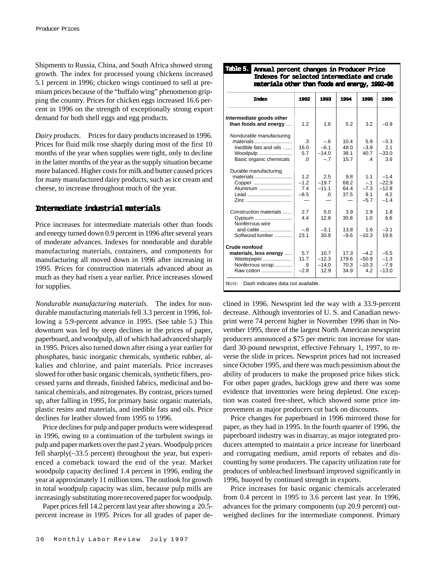Shipments to Russia, China, and South Africa showed strong growth. The index for processed young chickens increased 5.1 percent in 1996; chicken wings continued to sell at premium prices because of the "buffalo wing" phenomenon gripping the country. Prices for chicken eggs increased 16.6 percent in 1996 on the strength of exceptionally strong export demand for both shell eggs and egg products.

*Dairy products*. Prices for dairy products increased in 1996. Prices for fluid milk rose sharply during most of the first 10 months of the year when supplies were tight, only to decline in the latter months of the year as the supply situation became more balanced. Higher costs for milk and butter caused prices for many manufactured dairy products, such as ice cream and cheese, to increase throughout much of the year.

## **Intermediate industrial materials**

Price increases for intermediate materials other than foods and energy turned down 0.9 percent in 1996 after several years of moderate advances. Indexes for nondurable and durable manufacturing materials, containers, and components for manufacturing all moved down in 1996 after increasing in 1995. Prices for construction materials advanced about as much as they had risen a year earlier. Price increases slowed for supplies.

*Nondurable manufacturing materials*. The index for nondurable manufacturing materials fell 3.3 percent in 1996, following a 5.9-percent advance in 1995. (See table 5.) This downturn was led by steep declines in the prices of paper, paperboard, and woodpulp, all of which had advanced sharply in 1995. Prices also turned down after rising a year earlier for phosphates, basic inorganic chemicals, synthetic rubber, alkalies and chlorine, and paint materials. Price increases slowed for other basic organic chemicals, synthetic fibers, processed yarns and threads, finished fabrics, medicinal and botanical chemicals, and nitrogenates. By contrast, prices turned up, after falling in 1995, for primary basic organic materials, plastic resins and materials, and inedible fats and oils. Price declines for leather slowed from 1995 to 1996.

Price declines for pulp and paper products were widespread in 1996, owing to a continuation of the turbulent swings in pulp and paper markets over the past 2 years. Woodpulp prices fell sharply(–33.5 percent) throughout the year, but experienced a comeback toward the end of the year. Market woodpulp capacity declined 1.4 percent in 1996, ending the year at approximately 11 million tons. The outlook for growth in total woodpulp capacity was slim, because pulp mills are increasingly substituting more recovered paper for woodpulp.

Paper prices fell 14.2 percent last year after showing a 20.5 percent increase in 1995. Prices for all grades of paper de-

| <b>Index</b>             | 1992      | 1993     | 1994   | 1995           | 1996    |
|--------------------------|-----------|----------|--------|----------------|---------|
| Intermediate goods other |           |          |        |                |         |
| than foods and energy    | 1.2       | 1.6      | 5.2    | 3.2            | $-0.9$  |
| Nondurable manufacturing |           |          |        |                |         |
| materials                | $\cdot$ 3 | $-.6$    | 10.4   | 5.9            | $-3.3$  |
| Inedible fats and oils   | 16.0      | $-6.1$   | 48.0   | $-3.9$         | 2.1     |
| Woodpulp                 | 57        | $-14.0$  | 38.1   | 40.7           | $-33.0$ |
| Basic organic chemicals  | $\Omega$  | $-.7$    | 15.7   | $\overline{4}$ | 3.6     |
| Durable manufacturing    |           |          |        |                |         |
| materials                | 1.2       | 2.5      | 9.8    | 11             | $-1.4$  |
| Copper                   | $-1.2$    | $-19.7$  | 68.2   | $-.1$          | $-22.9$ |
| Aluminum                 | 7.4       | $-11.1$  | 64.4   | $-7.3$         | $-12.8$ |
| Lead                     | $-8.5$    | $\Omega$ | 37.5   | 9.1            | 4.2     |
| Zinc                     |           |          |        | $-5.7$         | $-1.4$  |
| Construction materials   | 2.7       | 5.0      | 3.9    | 1.9            | 1.8     |
| Gypsum                   | 44        | 12.8     | 30.8   | 1 <sub>0</sub> | 6.6     |
| Nonferrous wire          |           |          |        |                |         |
| and cable                | $-.8$     | $-3.1$   | 13.8   | 1.6            | $-3.1$  |
| Softwood lumber          | 231       | 30.8     | $-9.6$ | $-10.3$        | 19.6    |
| Crude nonfood            |           |          |        |                |         |
| materials, less energy   | 5.7       | 10.7     | 17.3   | $-42$          | $-5.5$  |
| Wastepaper               | 117       | $-12.3$  | 179.6  | $-50.9$        | $-1.3$  |
| Nonferrous scrap         | .9        | $-14.0$  | 70.3   | $-10.3$        | $-7.9$  |
| Raw cotton               | $-2.8$    | 12.9     | 34.9   | 4.2            | $-13.0$ |

**Annual percent changes in Producer Price Table 5.**

clined in 1996. Newsprint led the way with a 33.9-percent decrease. Although inventories of U. S. and Canadian newsprint were 74 percent higher in November 1996 than in November 1995, three of the largest North American newsprint producers announced a \$75 per metric ton increase for standard 30-pound newsprint, effective February 1, 1997, to reverse the slide in prices. Newsprint prices had not increased since October 1995, and there was much pessimism about the ability of producers to make the proposed price hikes stick. For other paper grades, backlogs grew and there was some evidence that inventories were being depleted. One exception was coated free-sheet, which showed some price improvement as major producers cut back on discounts.

Price changes for paperboard in 1996 mirrored those for paper, as they had in 1995. In the fourth quarter of 1996, the paperboard industry was in disarray, as major integrated producers attempted to maintain a price increase for linerboard and corrugating medium, amid reports of rebates and discounting by some producers. The capacity utilization rate for produces of unbleached linerboard improved significantly in 1996, buoyed by continued strength in exports.

Price increases for basic organic chemicals accelerated from 0.4 percent in 1995 to 3.6 percent last year. In 1996, advances for the primary components (up 20.9 percent) outweighed declines for the intermediate component. Primary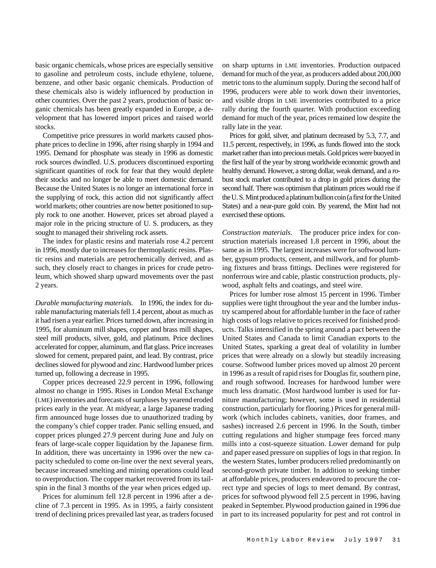basic organic chemicals, whose prices are especially sensitive to gasoline and petroleum costs, include ethylene, toluene, benzene, and other basic organic chemicals. Production of these chemicals also is widely influenced by production in other countries. Over the past 2 years, production of basic organic chemicals has been greatly expanded in Europe, a development that has lowered import prices and raised world stocks.

Competitive price pressures in world markets caused phosphate prices to decline in 1996, after rising sharply in 1994 and 1995. Demand for phosphate was steady in 1996 as domestic rock sources dwindled. U.S. producers discontinued exporting significant quantities of rock for fear that they would deplete their stocks and no longer be able to meet domestic demand. Because the United States is no longer an international force in the supplying of rock, this action did not significantly affect world markets; other countries are now better positioned to supply rock to one another. However, prices set abroad played a major role in the pricing structure of U. S. producers, as they sought to managed their shriveling rock assets.

The index for plastic resins and materials rose 4.2 percent in 1996, mostly due to increases for thermoplastic resins. Plastic resins and materials are petrochemically derived, and as such, they closely react to changes in prices for crude petroleum, which showed sharp upward movements over the past 2 years.

*Durable manufacturing materials*. In 1996, the index for durable manufacturing materials fell 1.4 percent, about as much as it had risen a year earlier. Prices turned down, after increasing in 1995, for aluminum mill shapes, copper and brass mill shapes, steel mill products, silver, gold, and platinum. Price declines accelerated for copper, aluminum, and flat glass. Price increases slowed for cement, prepared paint, and lead. By contrast, price declines slowed for plywood and zinc. Hardwood lumber prices turned up, following a decrease in 1995.

Copper prices decreased 22.9 percent in 1996, following almost no change in 1995. Rises in London Metal Exchange (LME) inventories and forecasts of surpluses by yearend eroded prices early in the year. At midyear, a large Japanese trading firm announced huge losses due to unauthorized trading by the company's chief copper trader. Panic selling ensued, and copper prices plunged 27.9 percent during June and July on fears of large-scale copper liquidation by the Japanese firm. In addition, there was uncertainty in 1996 over the new capacity scheduled to come on-line over the next several years, because increased smelting and mining operations could lead to overproduction. The copper market recovered from its tailspin in the final 3 months of the year when prices edged up.

Prices for aluminum fell 12.8 percent in 1996 after a decline of 7.3 percent in 1995. As in 1995, a fairly consistent trend of declining prices prevailed last year, as traders focused

on sharp upturns in LME inventories. Production outpaced demand for much of the year, as producers added about 200,000 metric tons to the aluminum supply. During the second half of 1996, producers were able to work down their inventories, and visible drops in LME inventories contributed to a price rally during the fourth quarter. With production exceeding demand for much of the year, prices remained low despite the rally late in the year.

Prices for gold, silver, and platinum decreased by 5.3, 7.7, and 11.5 percent, respectively, in 1996, as funds flowed into the stock market rather than into precious metals. Gold prices were buoyed in the first half of the year by strong worldwide economic growth and healthy demand. However, a strong dollar, weak demand, and a robust stock market contributed to a drop in gold prices during the second half. There was optimism that platinum prices would rise if the U. S. Mint produced a platinum bullion coin (a first for the United States) and a near-pure gold coin. By yearend, the Mint had not exercised these options.

*Construction materials*. The producer price index for construction materials increased 1.8 percent in 1996, about the same as in 1995. The largest increases were for softwood lumber, gypsum products, cement, and millwork, and for plumbing fixtures and brass fittings. Declines were registered for nonferrous wire and cable, plastic construction products, plywood, asphalt felts and coatings, and steel wire.

Prices for lumber rose almost 15 percent in 1996. Timber supplies were tight throughout the year and the lumber industry scampered about for affordable lumber in the face of rather high costs of logs relative to prices received for finished products. Talks intensified in the spring around a pact between the United States and Canada to limit Canadian exports to the United States, sparking a great deal of volatility in lumber prices that were already on a slowly but steadily increasing course. Softwood lumber prices moved up almost 20 percent in 1996 as a result of rapid rises for Douglas fir, southern pine, and rough softwood. Increases for hardwood lumber were much less dramatic. (Most hardwood lumber is used for furniture manufacturing; however, some is used in residential construction, particularly for flooring.) Prices for general millwork (which includes cabinets, vanities, door frames, and sashes) increased 2.6 percent in 1996. In the South, timber cutting regulations and higher stumpage fees forced many mills into a cost-squeeze situation. Lower demand for pulp and paper eased pressure on supplies of logs in that region. In the western States, lumber producers relied predominantly on second-growth private timber. In addition to seeking timber at affordable prices, producers endeavored to procure the correct type and species of logs to meet demand. By contrast, prices for softwood plywood fell 2.5 percent in 1996, having peaked in September. Plywood production gained in 1996 due in part to its increased popularity for pest and rot control in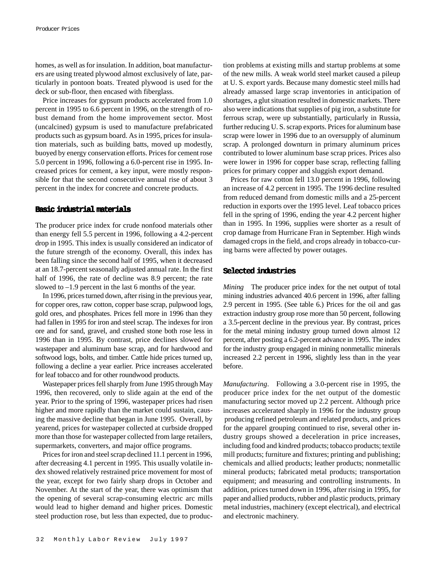homes, as well as for insulation. In addition, boat manufacturers are using treated plywood almost exclusively of late, particularly in pontoon boats. Treated plywood is used for the deck or sub-floor, then encased with fiberglass.

Price increases for gypsum products accelerated from 1.0 percent in 1995 to 6.6 percent in 1996, on the strength of robust demand from the home improvement sector. Most (uncalcined) gypsum is used to manufacture prefabricated products such as gypsum board. As in 1995, prices for insulation materials, such as building batts, moved up modestly, buoyed by energy conservation efforts. Prices for cement rose 5.0 percent in 1996, following a 6.0-percent rise in 1995. Increased prices for cement, a key input, were mostly responsible for that the second consecutive annual rise of about 3 percent in the index for concrete and concrete products.

#### **Basic industrial materials**

The producer price index for crude nonfood materials other than energy fell 5.5 percent in 1996, following a 4.2-percent drop in 1995. This index is usually considered an indicator of the future strength of the economy. Overall, this index has been falling since the second half of 1995, when it decreased at an 18.7-percent seasonally adjusted annual rate. In the first half of 1996, the rate of decline was 8.9 percent; the rate slowed to –1.9 percent in the last 6 months of the year.

In 1996, prices turned down, after rising in the previous year, for copper ores, raw cotton, copper base scrap, pulpwood logs, gold ores, and phosphates. Prices fell more in 1996 than they had fallen in 1995 for iron and steel scrap. The indexes for iron ore and for sand, gravel, and crushed stone both rose less in 1996 than in 1995. By contrast, price declines slowed for wastepaper and aluminum base scrap, and for hardwood and softwood logs, bolts, and timber. Cattle hide prices turned up, following a decline a year earlier. Price increases accelerated for leaf tobacco and for other roundwood products.

Wastepaper prices fell sharply from June 1995 through May 1996, then recovered, only to slide again at the end of the year. Prior to the spring of 1996, wastepaper prices had risen higher and more rapidly than the market could sustain, causing the massive decline that began in June 1995. Overall, by yearend, prices for wastepaper collected at curbside dropped more than those for wastepaper collected from large retailers, supermarkets, converters, and major office programs.

Prices for iron and steel scrap declined 11.1 percent in 1996, after decreasing 4.1 percent in 1995. This usually volatile index showed relatively restrained price movement for most of the year, except for two fairly sharp drops in October and November. At the start of the year, there was optimism that the opening of several scrap-consuming electric arc mills would lead to higher demand and higher prices. Domestic steel production rose, but less than expected, due to production problems at existing mills and startup problems at some of the new mills. A weak world steel market caused a pileup at U. S. export yards. Because many domestic steel mills had already amassed large scrap inventories in anticipation of shortages, a glut situation resulted in domestic markets. There also were indications that supplies of pig iron, a substitute for ferrous scrap, were up substantially, particularly in Russia, further reducing U. S. scrap exports. Prices for aluminum base scrap were lower in 1996 due to an oversupply of aluminum scrap. A prolonged downturn in primary aluminum prices contributed to lower aluminum base scrap prices. Prices also were lower in 1996 for copper base scrap, reflecting falling prices for primary copper and sluggish export demand.

Prices for raw cotton fell 13.0 percent in 1996, following an increase of 4.2 percent in 1995. The 1996 decline resulted from reduced demand from domestic mills and a 25-percent reduction in exports over the 1995 level. Leaf tobacco prices fell in the spring of 1996, ending the year 4.2 percent higher than in 1995. In 1996, supplies were shorter as a result of crop damage from Hurricane Fran in September. High winds damaged crops in the field, and crops already in tobacco-curing barns were affected by power outages.

### **Selected industries**

*Mining* The producer price index for the net output of total mining industries advanced 40.6 percent in 1996, after falling 2.9 percent in 1995. (See table 6.) Prices for the oil and gas extraction industry group rose more than 50 percent, following a 3.5-percent decline in the previous year. By contrast, prices for the metal mining industry group turned down almost 12 percent, after posting a 6.2-percent advance in 1995. The index for the industry group engaged in mining nonmetallic minerals increased 2.2 percent in 1996, slightly less than in the year before.

*Manufacturing*. Following a 3.0-percent rise in 1995, the producer price index for the net output of the domestic manufacturing sector moved up 2.2 percent. Although price increases accelerated sharply in 1996 for the industry group producing refined petroleum and related products, and prices for the apparel grouping continued to rise, several other industry groups showed a deceleration in price increases, including food and kindred products; tobacco products; textile mill products; furniture and fixtures; printing and publishing; chemicals and allied products; leather products; nonmetallic mineral products; fabricated metal products; transportation equipment; and measuring and controlling instruments. In addition, prices turned down in 1996, after rising in 1995, for paper and allied products, rubber and plastic products, primary metal industries, machinery (except electrical), and electrical and electronic machinery.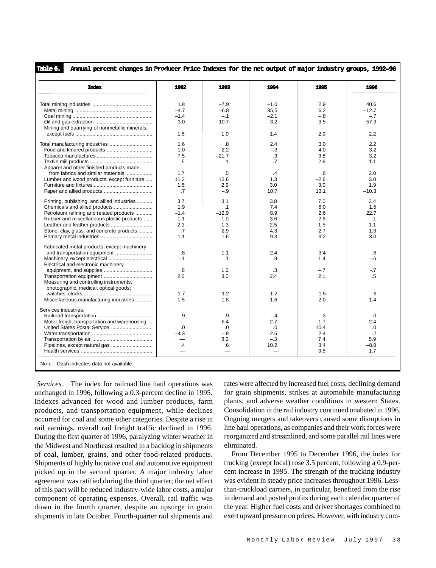**Annual percent changes in Producer Price Indexes for the net output of major industry groups, 1992–96** Table 1.

| <b>Index</b>                                  | 1992                     | 1993             | 1994       | 1995              | 1996             |
|-----------------------------------------------|--------------------------|------------------|------------|-------------------|------------------|
|                                               | 1.8                      | $-7.9$           | $-1.0$     | 2.9               | 40.6             |
|                                               | $-4.7$                   | $-6.8$           | 35.5       | 6.2               | $-12.7$          |
|                                               | $-1.4$                   | $-.1$            | $-2.1$     | $-.8$             | $-.7$            |
|                                               | 3.0                      | $-10.7$          | $-3.2$     | 3.5               | 57.9             |
| Mining and quarrying of nonmetallic minerals, |                          |                  |            |                   |                  |
|                                               | 1.5                      | 1.0              | 1.4        | 2.9               | 2.2              |
|                                               |                          |                  |            |                   |                  |
|                                               | 1.6                      | .8               | 2.4        | 3.0               | 2.2              |
| Food and kindred products                     | 1.0                      | 2.2              | $-.3$      | 4.0               | 3.2              |
|                                               | 7.5                      | $-21.7$          | .3         | 3.8               | 3.2              |
|                                               | .5                       | $-.1$            | $\cdot$ 7  | 2.6               | 1.1              |
| Apparel and other finished products made      |                          |                  |            |                   |                  |
| from fabrics and similar materials            | 1.7                      | .5               | .4         | $\boldsymbol{.8}$ | 2.0              |
| Lumber and wood products, except furniture    | 11.2                     | 13.6             | 1.3        | $-2.6$            | 3.0              |
|                                               | 1.5                      | 2.9              | 3.0        | 3.0               | 1.9              |
|                                               | .7                       | $-.9$            | 10.7       | 13.1              | $-10.3$          |
|                                               | 3.7                      |                  |            | 7.0               | 2.4              |
| Printing, publishing, and allied industries   | 1.9                      | 3.1<br>$\cdot$ 1 | 3.8<br>7.4 | 6.0               | 1.5              |
| Chemicals and allied products                 | $-1.4$                   |                  | 8.9        | 2.6               | 22.7             |
| Petroleum refining and related products       | 1.1                      | $-12.9$          | 3.6        | 2.6               |                  |
| Rubber and miscellaneous plastic products     | 2.1                      | 1.0<br>1.3       | 2.5        | 1.5               | $\cdot$ 1<br>1.1 |
| Leather and leather products                  | $\overline{.7}$          |                  |            |                   |                  |
| Stone, clay, glass, and concrete products     | $-1.1$                   | 2.9<br>1.6       | 4.3<br>9.3 | 2.7<br>3.2        | 1.3<br>$-3.0$    |
|                                               |                          |                  |            |                   |                  |
| Fabricated metal products, except machinery   |                          |                  |            |                   |                  |
| and transportation equipment                  | .8                       | 1.1              | 2.4        | 3.4               | .6               |
|                                               | $-.1$                    | $\cdot$ 1        | .9         | 1.4               | $-.6$            |
| Electrical and electronic machinery,          |                          |                  |            |                   |                  |
|                                               | .8                       | 1.2              | .3         | $-.7$             | $-.7$            |
|                                               | 2.0                      | 3.0              | 2.4        | 2.1               | .5               |
| Measuring and controlling instruments;        |                          |                  |            |                   |                  |
| photographic, medical, optical goods;         |                          |                  |            |                   |                  |
|                                               | 1.7                      | 1.2              | 1.2        | 1.5               | .6               |
| Miscellaneous manufacturing industries        | 1.5                      | 1.8              | 1.6        | 2.0               | 1.4              |
|                                               |                          |                  |            |                   |                  |
| Services industries:                          |                          |                  |            |                   |                  |
|                                               | .9                       | .9               | $\cdot$ 4  | $-.3$             | .0               |
| Motor freight transportation and warehousing  | $\overline{\phantom{0}}$ | $-6.4$           | 2.7        | 1.7               | 2.4              |
|                                               | $\Omega$                 | $\Omega$         | $\Omega$   | 10.4              | .0               |
|                                               | $-4.3$                   | $-.9$            | 2.5        | 2.4               | $\cdot$          |
|                                               |                          | 8.2              | $-.3$      | 7.4               | 5.9              |
| Pipelines, except natural gas                 | $\cdot$                  | .6               | 10.2       | 3.4               | $-8.8$           |
|                                               |                          |                  |            | 3.5               | 1.7              |

*Services*. The index for railroad line haul operations was unchanged in 1996, following a 0.3-percent decline in 1995. Indexes advanced for wood and lumber products, farm products, and transportation equipment, while declines occurred for coal and some other categories. Despite a rise in rail earnings, overall rail freight traffic declined in 1996. During the first quarter of 1996, paralyzing winter weather in the Midwest and Northeast resulted in a backlog in shipments of coal, lumber, grains, and other food-related products. Shipments of highly lucrative coal and automotive equipment picked up in the second quarter. A major industry labor agreement was ratified during the third quarter; the net effect of this pact will be reduced industry-wide labor costs, a major component of operating expenses. Overall, rail traffic was down in the fourth quarter, despite an upsurge in grain shipments in late October. Fourth-quarter rail shipments and rates were affected by increased fuel costs, declining demand for grain shipments, strikes at automobile manufacturing plants, and adverse weather conditions in western States. Consolidation in the rail industry continued unabated in 1996. Ongoing mergers and takeovers caused some disruptions in line haul operations, as companies and their work forces were reorganized and streamlined, and some parallel rail lines were eliminated.

From December 1995 to December 1996, the index for trucking (except local) rose 3.5 percent, following a 0.9-percent increase in 1995. The strength of the trucking industry was evident in steady price increases throughout 1996. Lessthan-truckload carriers, in particular, benefited from the rise in demand and posted profits during each calendar quarter of the year. Higher fuel costs and driver shortages combined to exert upward pressure on prices. However, with industry com